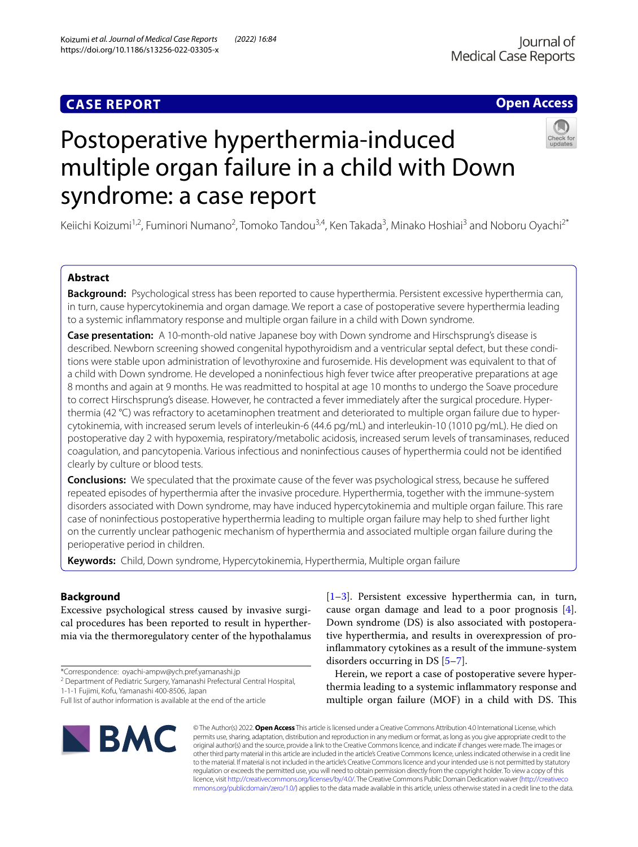# **CASE REPORT**

# **Open Access**



# Postoperative hyperthermia-induced multiple organ failure in a child with Down syndrome: a case report

Keiichi Koizumi<sup>1,2</sup>, Fuminori Numano<sup>2</sup>, Tomoko Tandou<sup>3,4</sup>, Ken Takada<sup>3</sup>, Minako Hoshiai<sup>3</sup> and Noboru Oyachi<sup>2\*</sup>

# **Abstract**

**Background:** Psychological stress has been reported to cause hyperthermia. Persistent excessive hyperthermia can, in turn, cause hypercytokinemia and organ damage. We report a case of postoperative severe hyperthermia leading to a systemic infammatory response and multiple organ failure in a child with Down syndrome.

**Case presentation:** A 10-month-old native Japanese boy with Down syndrome and Hirschsprung's disease is described. Newborn screening showed congenital hypothyroidism and a ventricular septal defect, but these conditions were stable upon administration of levothyroxine and furosemide. His development was equivalent to that of a child with Down syndrome. He developed a noninfectious high fever twice after preoperative preparations at age 8 months and again at 9 months. He was readmitted to hospital at age 10 months to undergo the Soave procedure to correct Hirschsprung's disease. However, he contracted a fever immediately after the surgical procedure. Hyperthermia (42 °C) was refractory to acetaminophen treatment and deteriorated to multiple organ failure due to hypercytokinemia, with increased serum levels of interleukin-6 (44.6 pg/mL) and interleukin-10 (1010 pg/mL). He died on postoperative day 2 with hypoxemia, respiratory/metabolic acidosis, increased serum levels of transaminases, reduced coagulation, and pancytopenia. Various infectious and noninfectious causes of hyperthermia could not be identifed clearly by culture or blood tests.

**Conclusions:** We speculated that the proximate cause of the fever was psychological stress, because he sufered repeated episodes of hyperthermia after the invasive procedure. Hyperthermia, together with the immune-system disorders associated with Down syndrome, may have induced hypercytokinemia and multiple organ failure. This rare case of noninfectious postoperative hyperthermia leading to multiple organ failure may help to shed further light on the currently unclear pathogenic mechanism of hyperthermia and associated multiple organ failure during the perioperative period in children.

**Keywords:** Child, Down syndrome, Hypercytokinemia, Hyperthermia, Multiple organ failure

# **Background**

Excessive psychological stress caused by invasive surgical procedures has been reported to result in hyperthermia via the thermoregulatory center of the hypothalamus

1-1-1 Fujimi, Kofu, Yamanashi 400-8506, Japan

Full list of author information is available at the end of the article



[[1–](#page-5-0)[3\]](#page-5-1). Persistent excessive hyperthermia can, in turn, cause organ damage and lead to a poor prognosis [\[4](#page-5-2)]. Down syndrome (DS) is also associated with postoperative hyperthermia, and results in overexpression of proinfammatory cytokines as a result of the immune-system disorders occurring in DS [\[5](#page-5-3)[–7](#page-5-4)].

Herein, we report a case of postoperative severe hyperthermia leading to a systemic infammatory response and multiple organ failure (MOF) in a child with DS. This

© The Author(s) 2022. **Open Access** This article is licensed under a Creative Commons Attribution 4.0 International License, which permits use, sharing, adaptation, distribution and reproduction in any medium or format, as long as you give appropriate credit to the original author(s) and the source, provide a link to the Creative Commons licence, and indicate if changes were made. The images or other third party material in this article are included in the article's Creative Commons licence, unless indicated otherwise in a credit line to the material. If material is not included in the article's Creative Commons licence and your intended use is not permitted by statutory regulation or exceeds the permitted use, you will need to obtain permission directly from the copyright holder. To view a copy of this licence, visit [http://creativecommons.org/licenses/by/4.0/.](http://creativecommons.org/licenses/by/4.0/) The Creative Commons Public Domain Dedication waiver ([http://creativeco](http://creativecommons.org/publicdomain/zero/1.0/) [mmons.org/publicdomain/zero/1.0/](http://creativecommons.org/publicdomain/zero/1.0/)) applies to the data made available in this article, unless otherwise stated in a credit line to the data.

<sup>\*</sup>Correspondence: oyachi-ampw@ych.pref.yamanashi.jp

<sup>&</sup>lt;sup>2</sup> Department of Pediatric Surgery, Yamanashi Prefectural Central Hospital,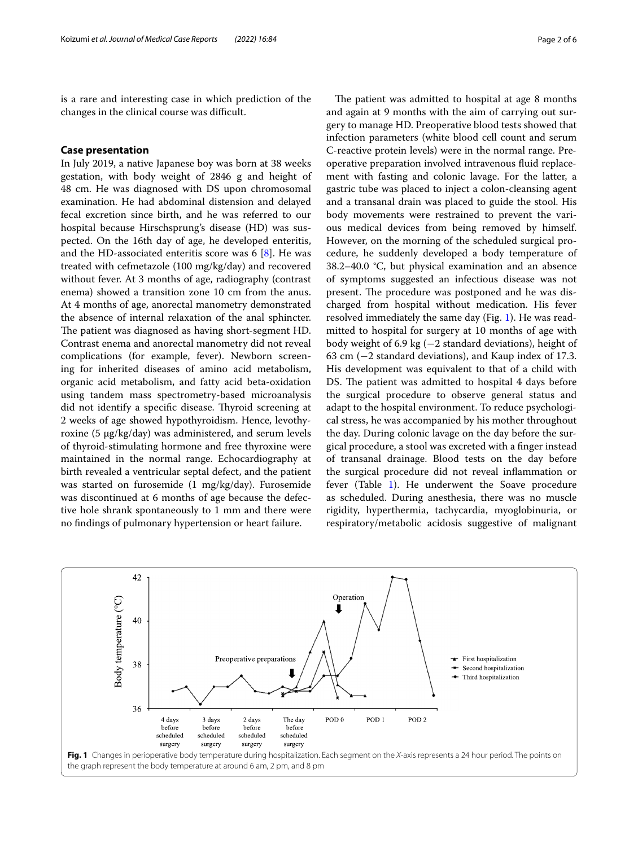is a rare and interesting case in which prediction of the changes in the clinical course was difficult.

# **Case presentation**

In July 2019, a native Japanese boy was born at 38 weeks gestation, with body weight of 2846 g and height of 48 cm. He was diagnosed with DS upon chromosomal examination. He had abdominal distension and delayed fecal excretion since birth, and he was referred to our hospital because Hirschsprung's disease (HD) was suspected. On the 16th day of age, he developed enteritis, and the HD-associated enteritis score was 6 [\[8](#page-5-5)]. He was treated with cefmetazole (100 mg/kg/day) and recovered without fever. At 3 months of age, radiography (contrast enema) showed a transition zone 10 cm from the anus. At 4 months of age, anorectal manometry demonstrated the absence of internal relaxation of the anal sphincter. The patient was diagnosed as having short-segment HD. Contrast enema and anorectal manometry did not reveal complications (for example, fever). Newborn screening for inherited diseases of amino acid metabolism, organic acid metabolism, and fatty acid beta-oxidation using tandem mass spectrometry-based microanalysis did not identify a specific disease. Thyroid screening at 2 weeks of age showed hypothyroidism. Hence, levothyroxine (5 μg/kg/day) was administered, and serum levels of thyroid-stimulating hormone and free thyroxine were maintained in the normal range. Echocardiography at birth revealed a ventricular septal defect, and the patient was started on furosemide (1 mg/kg/day). Furosemide was discontinued at 6 months of age because the defective hole shrank spontaneously to 1 mm and there were no fndings of pulmonary hypertension or heart failure.

The patient was admitted to hospital at age 8 months and again at 9 months with the aim of carrying out surgery to manage HD. Preoperative blood tests showed that infection parameters (white blood cell count and serum C-reactive protein levels) were in the normal range. Preoperative preparation involved intravenous fuid replacement with fasting and colonic lavage. For the latter, a gastric tube was placed to inject a colon-cleansing agent and a transanal drain was placed to guide the stool. His body movements were restrained to prevent the various medical devices from being removed by himself. However, on the morning of the scheduled surgical procedure, he suddenly developed a body temperature of 38.2–40.0 °C, but physical examination and an absence of symptoms suggested an infectious disease was not present. The procedure was postponed and he was discharged from hospital without medication. His fever resolved immediately the same day (Fig. [1](#page-1-0)). He was readmitted to hospital for surgery at 10 months of age with body weight of 6.9 kg (−2 standard deviations), height of 63 cm (−2 standard deviations), and Kaup index of 17.3. His development was equivalent to that of a child with DS. The patient was admitted to hospital 4 days before the surgical procedure to observe general status and adapt to the hospital environment. To reduce psychological stress, he was accompanied by his mother throughout the day. During colonic lavage on the day before the surgical procedure, a stool was excreted with a fnger instead of transanal drainage. Blood tests on the day before the surgical procedure did not reveal infammation or fever (Table [1\)](#page-2-0). He underwent the Soave procedure as scheduled. During anesthesia, there was no muscle rigidity, hyperthermia, tachycardia, myoglobinuria, or respiratory/metabolic acidosis suggestive of malignant

<span id="page-1-0"></span>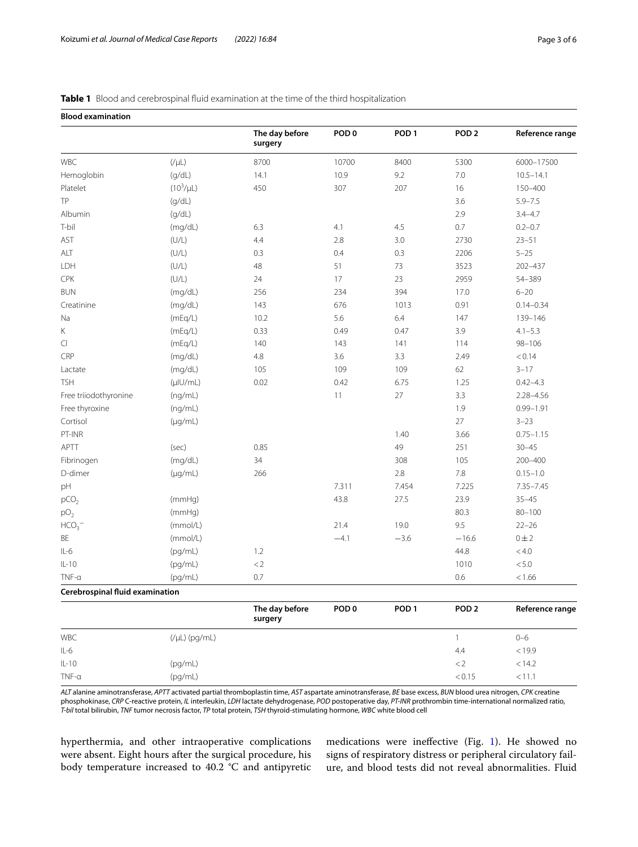# <span id="page-2-0"></span>**Table 1** Blood and cerebrospinal fluid examination at the time of the third hospitalization

| <b>Blood examination</b>        |                    |                           |                  |                  |                  |                 |
|---------------------------------|--------------------|---------------------------|------------------|------------------|------------------|-----------------|
|                                 |                    | The day before<br>surgery | POD <sub>0</sub> | POD <sub>1</sub> | POD <sub>2</sub> | Reference range |
| WBC                             | $(V\mu L)$         | 8700                      | 10700            | 8400             | 5300             | 6000-17500      |
| Hemoglobin                      | (q/dL)             | 14.1                      | 10.9             | 9.2              | $7.0$            | $10.5 - 14.1$   |
| Platelet                        | $(10^3/\mu L)$     | 450                       | 307              | 207              | 16               | 150-400         |
| TP                              | (g/dL)             |                           |                  |                  | 3.6              | $5.9 - 7.5$     |
| Albumin                         | (g/dL)             |                           |                  |                  | 2.9              | $3.4 - 4.7$     |
| T-bil                           | (mg/dL)            | 6.3                       | 4.1              | 4.5              | 0.7              | $0.2 - 0.7$     |
| AST                             | (U/L)              | 4.4                       | 2.8              | 3.0              | 2730             | $23 - 51$       |
| ALT                             | (U/L)              | 0.3                       | 0.4              | 0.3              | 2206             | $5 - 25$        |
| LDH                             | (U/L)              | 48                        | 51               | 73               | 3523             | 202-437         |
| CPK                             | (U/L)              | 24                        | 17               | 23               | 2959             | 54-389          |
| <b>BUN</b>                      | (mg/dL)            | 256                       | 234              | 394              | 17.0             | $6 - 20$        |
| Creatinine                      | (mg/dL)            | 143                       | 676              | 1013             | 0.91             | $0.14 - 0.34$   |
| Na                              | (mEq/L)            | 10.2                      | 5.6              | 6.4              | 147              | 139-146         |
| $\mathsf K$                     | (mEq/L)            | 0.33                      | 0.49             | 0.47             | 3.9              | $4.1 - 5.3$     |
| $\mathsf{C}\mathsf{I}$          | (mEq/L)            | 140                       | 143              | 141              | 114              | $98 - 106$      |
| CRP                             | (mg/dL)            | $4.8\,$                   | 3.6              | 3.3              | 2.49             | < 0.14          |
| Lactate                         | (mg/dL)            | 105                       | 109              | 109              | 62               | $3 - 17$        |
| <b>TSH</b>                      | (µIU/mL)           | 0.02                      | 0.42             | 6.75             | 1.25             | $0.42 - 4.3$    |
| Free triiodothyronine           | (ng/mL)            |                           | 11               | 27               | 3.3              | 2.28-4.56       |
| Free thyroxine                  | (ng/mL)            |                           |                  |                  | 1.9              | $0.99 - 1.91$   |
| Cortisol                        | $(\mu g/mL)$       |                           |                  |                  | 27               | $3 - 23$        |
| PT-INR                          |                    |                           |                  | 1.40             | 3.66             | $0.75 - 1.15$   |
| APTT                            | (sec)              | 0.85                      |                  | 49               | 251              | $30 - 45$       |
| Fibrinogen                      | (mg/dL)            | 34                        |                  | 308              | 105              | 200-400         |
| D-dimer                         | $(\mu g/mL)$       | 266                       |                  | 2.8              | 7.8              | $0.15 - 1.0$    |
| pH                              |                    |                           | 7.311            | 7.454            | 7.225            | $7.35 - 7.45$   |
| pCO <sub>2</sub>                | (mmHg)             |                           | 43.8             | 27.5             | 23.9             | $35 - 45$       |
| pO <sub>2</sub>                 | (mmHg)             |                           |                  |                  | 80.3             | $80 - 100$      |
| HCO <sub>3</sub>                | (mmol/L)           |                           | 21.4             | 19.0             | 9.5              | $22 - 26$       |
| ΒE                              | (mmol/L)           |                           | $-4.1$           | $-3.6$           | $-16.6$          | $0 \pm 2$       |
| $IL-6$                          | (pg/mL)            | 1.2                       |                  |                  | 44.8             | < 4.0           |
| $IL-10$                         | (pg/mL)            | $\rm < 2$                 |                  |                  | 1010             | $< 5.0\,$       |
| $TNF-\alpha$                    | (pg/mL)            | 0.7                       |                  |                  | 0.6              | < 1.66          |
| Cerebrospinal fluid examination |                    |                           |                  |                  |                  |                 |
|                                 |                    | The day before<br>surgery | POD <sub>0</sub> | POD <sub>1</sub> | POD <sub>2</sub> | Reference range |
| WBC                             | $(V\mu L)$ (pg/mL) |                           |                  |                  | $\mathbf{1}$     | $0 - 6$         |
| $IL-6$                          |                    |                           |                  |                  | 4.4              | < 19.9          |
| $IL-10$                         | (pg/mL)            |                           |                  |                  | < 2              | < 14.2          |
| $TNF-\alpha$                    | (pg/mL)            |                           |                  |                  | < 0.15           | < 11.1          |

*ALT* alanine aminotransferase, *APTT* activated partial thromboplastin time, *AST* aspartate aminotransferase, *BE* base excess, *BUN* blood urea nitrogen, *CPK* creatine phosphokinase, *CRP* C-reactive protein, *IL* interleukin, *LDH* lactate dehydrogenase, *POD* postoperative day, *PT-INR* prothrombin time-international normalized ratio, *T-bil* total bilirubin, *TNF* tumor necrosis factor, *TP* total protein, *TSH* thyroid-stimulating hormone, *WBC* white blood cell

hyperthermia, and other intraoperative complications were absent. Eight hours after the surgical procedure, his body temperature increased to 40.2 °C and antipyretic medications were inefective (Fig. [1](#page-1-0)). He showed no signs of respiratory distress or peripheral circulatory failure, and blood tests did not reveal abnormalities. Fluid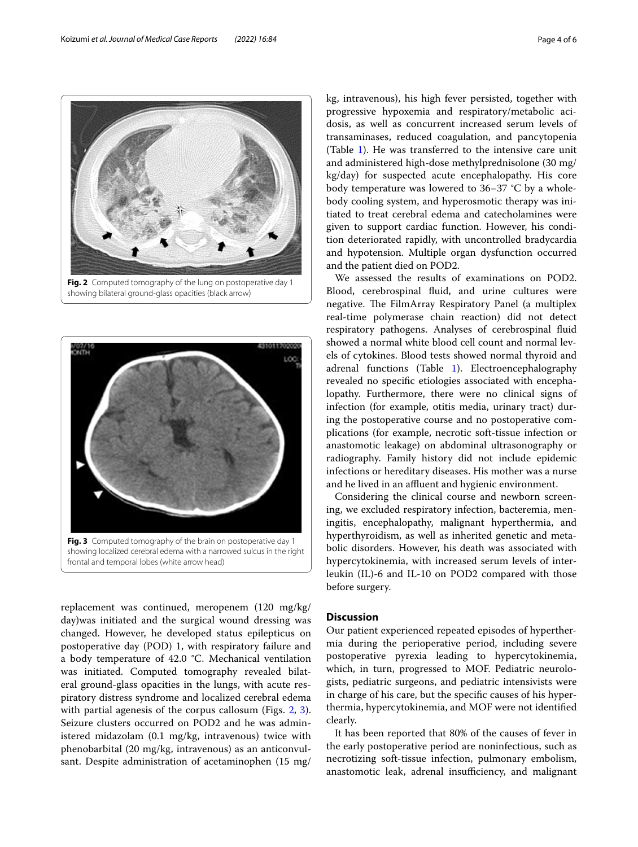replacement was continued, meropenem (120 mg/kg/ day)was initiated and the surgical wound dressing was changed. However, he developed status epilepticus on postoperative day (POD) 1, with respiratory failure and a body temperature of 42.0 °C. Mechanical ventilation was initiated. Computed tomography revealed bilateral ground-glass opacities in the lungs, with acute respiratory distress syndrome and localized cerebral edema with partial agenesis of the corpus callosum (Figs. [2,](#page-3-0) [3](#page-3-1)). Seizure clusters occurred on POD2 and he was administered midazolam (0.1 mg/kg, intravenous) twice with phenobarbital (20 mg/kg, intravenous) as an anticonvul-

sant. Despite administration of acetaminophen (15 mg/

body cooling system, and hyperosmotic therapy was initiated to treat cerebral edema and catecholamines were given to support cardiac function. However, his condition deteriorated rapidly, with uncontrolled bradycardia and hypotension. Multiple organ dysfunction occurred We assessed the results of examinations on POD2. Blood, cerebrospinal fuid, and urine cultures were negative. The FilmArray Respiratory Panel (a multiplex real-time polymerase chain reaction) did not detect respiratory pathogens. Analyses of cerebrospinal fuid showed a normal white blood cell count and normal levels of cytokines. Blood tests showed normal thyroid and adrenal functions (Table [1\)](#page-2-0). Electroencephalography revealed no specifc etiologies associated with encephalopathy. Furthermore, there were no clinical signs of infection (for example, otitis media, urinary tract) during the postoperative course and no postoperative complications (for example, necrotic soft-tissue infection or anastomotic leakage) on abdominal ultrasonography or radiography. Family history did not include epidemic infections or hereditary diseases. His mother was a nurse

kg, intravenous), his high fever persisted, together with progressive hypoxemia and respiratory/metabolic acidosis, as well as concurrent increased serum levels of

Considering the clinical course and newborn screening, we excluded respiratory infection, bacteremia, meningitis, encephalopathy, malignant hyperthermia, and hyperthyroidism, as well as inherited genetic and metabolic disorders. However, his death was associated with hypercytokinemia, with increased serum levels of interleukin (IL)-6 and IL-10 on POD2 compared with those before surgery.

and he lived in an affluent and hygienic environment.

# **Discussion**

Our patient experienced repeated episodes of hyperthermia during the perioperative period, including severe postoperative pyrexia leading to hypercytokinemia, which, in turn, progressed to MOF. Pediatric neurologists, pediatric surgeons, and pediatric intensivists were in charge of his care, but the specifc causes of his hyperthermia, hypercytokinemia, and MOF were not identifed clearly.

It has been reported that 80% of the causes of fever in the early postoperative period are noninfectious, such as necrotizing soft-tissue infection, pulmonary embolism, anastomotic leak, adrenal insufficiency, and malignant

<span id="page-3-1"></span>frontal and temporal lobes (white arrow head)

transaminases, reduced coagulation, and pancytopenia (Table [1\)](#page-2-0). He was transferred to the intensive care unit and administered high-dose methylprednisolone (30 mg/ kg/day) for suspected acute encephalopathy. His core body temperature was lowered to 36–37 °C by a wholeand the patient died on POD2.

<span id="page-3-0"></span>



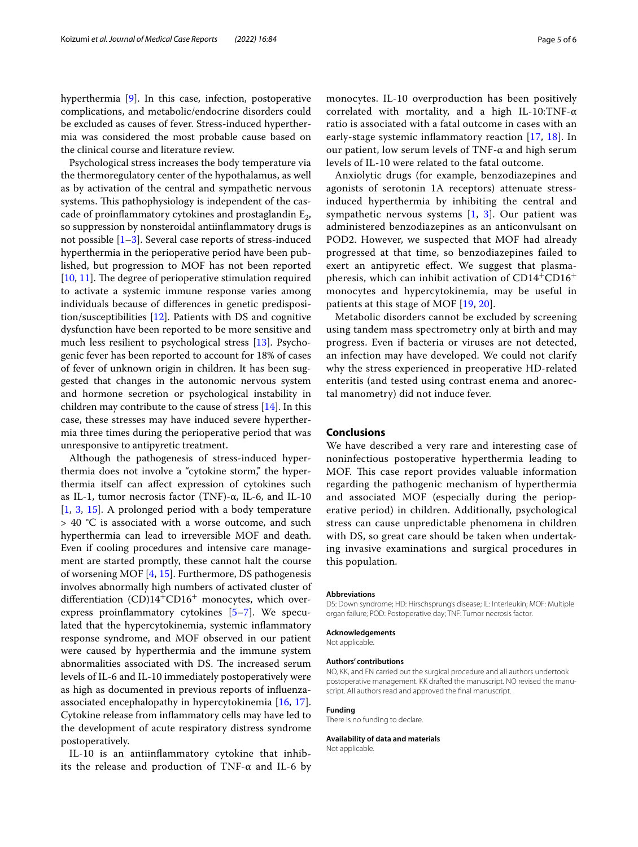hyperthermia [\[9](#page-5-6)]. In this case, infection, postoperative complications, and metabolic/endocrine disorders could be excluded as causes of fever. Stress-induced hyperthermia was considered the most probable cause based on the clinical course and literature review.

Psychological stress increases the body temperature via the thermoregulatory center of the hypothalamus, as well as by activation of the central and sympathetic nervous systems. This pathophysiology is independent of the cascade of proinflammatory cytokines and prostaglandin  $E_2$ , so suppression by nonsteroidal antiinfammatory drugs is not possible  $[1-3]$  $[1-3]$ . Several case reports of stress-induced hyperthermia in the perioperative period have been published, but progression to MOF has not been reported [[10,](#page-5-7) [11](#page-5-8)]. The degree of perioperative stimulation required to activate a systemic immune response varies among individuals because of diferences in genetic predisposition/susceptibilities [\[12](#page-5-9)]. Patients with DS and cognitive dysfunction have been reported to be more sensitive and much less resilient to psychological stress [\[13](#page-5-10)]. Psychogenic fever has been reported to account for 18% of cases of fever of unknown origin in children. It has been suggested that changes in the autonomic nervous system and hormone secretion or psychological instability in children may contribute to the cause of stress [[14\]](#page-5-11). In this case, these stresses may have induced severe hyperthermia three times during the perioperative period that was unresponsive to antipyretic treatment.

Although the pathogenesis of stress-induced hyperthermia does not involve a "cytokine storm," the hyperthermia itself can afect expression of cytokines such as IL-1, tumor necrosis factor (TNF)-α, IL-6, and IL-10 [[1,](#page-5-0) [3,](#page-5-1) [15](#page-5-12)]. A prolonged period with a body temperature > 40 °C is associated with a worse outcome, and such hyperthermia can lead to irreversible MOF and death. Even if cooling procedures and intensive care management are started promptly, these cannot halt the course of worsening MOF  $[4, 15]$  $[4, 15]$  $[4, 15]$  $[4, 15]$ . Furthermore, DS pathogenesis involves abnormally high numbers of activated cluster of differentiation  $(CD)14+CD16$ <sup>+</sup> monocytes, which overexpress proinfammatory cytokines [[5](#page-5-3)[–7](#page-5-4)]. We speculated that the hypercytokinemia, systemic infammatory response syndrome, and MOF observed in our patient were caused by hyperthermia and the immune system abnormalities associated with DS. The increased serum levels of IL-6 and IL-10 immediately postoperatively were as high as documented in previous reports of infuenzaassociated encephalopathy in hypercytokinemia [\[16](#page-5-13), [17](#page-5-14)]. Cytokine release from infammatory cells may have led to the development of acute respiratory distress syndrome postoperatively.

IL-10 is an antiinfammatory cytokine that inhibits the release and production of TNF- $\alpha$  and IL-6 by monocytes. IL-10 overproduction has been positively correlated with mortality, and a high IL-10:TNF-α ratio is associated with a fatal outcome in cases with an early-stage systemic infammatory reaction [[17](#page-5-14), [18\]](#page-5-15). In our patient, low serum levels of TNF-α and high serum levels of IL-10 were related to the fatal outcome.

Anxiolytic drugs (for example, benzodiazepines and agonists of serotonin 1A receptors) attenuate stressinduced hyperthermia by inhibiting the central and sympathetic nervous systems  $[1, 3]$  $[1, 3]$  $[1, 3]$  $[1, 3]$ . Our patient was administered benzodiazepines as an anticonvulsant on POD2. However, we suspected that MOF had already progressed at that time, so benzodiazepines failed to exert an antipyretic efect. We suggest that plasmapheresis, which can inhibit activation of  $CD14^+CD16^+$ monocytes and hypercytokinemia, may be useful in patients at this stage of MOF [[19](#page-5-16), [20](#page-5-17)].

Metabolic disorders cannot be excluded by screening using tandem mass spectrometry only at birth and may progress. Even if bacteria or viruses are not detected, an infection may have developed. We could not clarify why the stress experienced in preoperative HD-related enteritis (and tested using contrast enema and anorectal manometry) did not induce fever.

# **Conclusions**

We have described a very rare and interesting case of noninfectious postoperative hyperthermia leading to MOF. This case report provides valuable information regarding the pathogenic mechanism of hyperthermia and associated MOF (especially during the perioperative period) in children. Additionally, psychological stress can cause unpredictable phenomena in children with DS, so great care should be taken when undertaking invasive examinations and surgical procedures in this population.

#### **Abbreviations**

DS: Down syndrome; HD: Hirschsprung's disease; IL: Interleukin; MOF: Multiple organ failure; POD: Postoperative day; TNF: Tumor necrosis factor.

#### **Acknowledgements**

Not applicable.

#### **Authors' contributions**

NO, KK, and FN carried out the surgical procedure and all authors undertook postoperative management. KK drafted the manuscript. NO revised the manuscript. All authors read and approved the fnal manuscript.

## **Funding**

There is no funding to declare.

# **Availability of data and materials**

Not applicable.